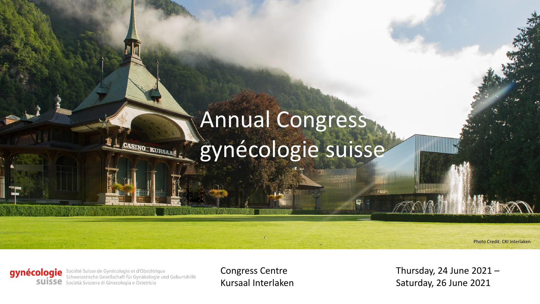# Annual Congress gynécologie suisse

Photo Credit: CKI Interlaken

gynécologie Société Suisse de Gynécologie et d'Obstétrique<br>Schweizerische Gesellschaft für Gynäkologie und Geburtshilfe SUISSE Società Svizzera di Ginecologia e Ostetricia

**CASINO KURSAAG** 

Congress Centre Kursaal Interlaken Thursday, 24 June  $2021 -$ Saturday, 26 June 2021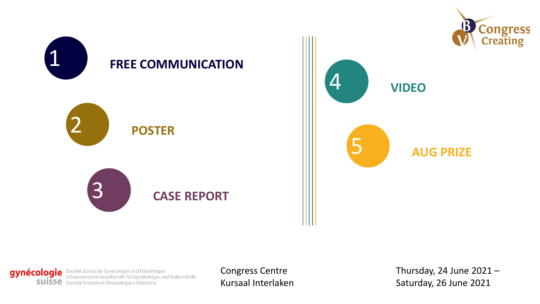

gynécologie Société Suisse de Gynécologie et d'Obstétrique<br>Suisse Schweizerische Gesellschaft für Gynäkologie und Geburtshilfe<br>Suisse Società Svizzera di Ginecologia e Ostetricia

Congress Centre Kursaal Interlaken Thursday, 24 June  $2021 -$ Saturday, 26 June 2021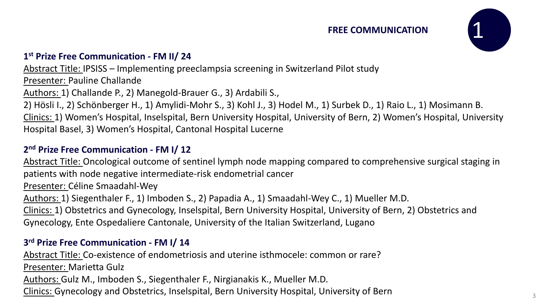#### **FREE COMMUNICATION**



# **1 st Prize Free Communication - FM II/ 24**

Abstract Title: IPSISS – Implementing preeclampsia screening in Switzerland Pilot study Presenter: Pauline Challande Authors: 1) Challande P., 2) Manegold-Brauer G., 3) Ardabili S., 2) Hösli I., 2) Schönberger H., 1) Amylidi-Mohr S., 3) Kohl J., 3) Hodel M., 1) Surbek D., 1) Raio L., 1) Mosimann B. Clinics: 1) Women's Hospital, Inselspital, Bern University Hospital, University of Bern, 2) Women's Hospital, University Hospital Basel, 3) Women's Hospital, Cantonal Hospital Lucerne

# **2 nd Prize Free Communication - FM I/ 12**

Abstract Title: Oncological outcome of sentinel lymph node mapping compared to comprehensive surgical staging in patients with node negative intermediate-risk endometrial cancer

Presenter: Céline Smaadahl-Wey

Authors: 1) Siegenthaler F., 1) Imboden S., 2) Papadia A., 1) Smaadahl-Wey C., 1) Mueller M.D.

Clinics: 1) Obstetrics and Gynecology, Inselspital, Bern University Hospital, University of Bern, 2) Obstetrics and Gynecology, Ente Ospedaliere Cantonale, University of the Italian Switzerland, Lugano

# **3 rd Prize Free Communication - FM I/ 14**

Abstract Title: Co-existence of endometriosis and uterine isthmocele: common or rare? Presenter: Marietta Gulz Authors: Gulz M., Imboden S., Siegenthaler F., Nirgianakis K., Mueller M.D. Clinics: Gynecology and Obstetrics, Inselspital, Bern University Hospital, University of Bern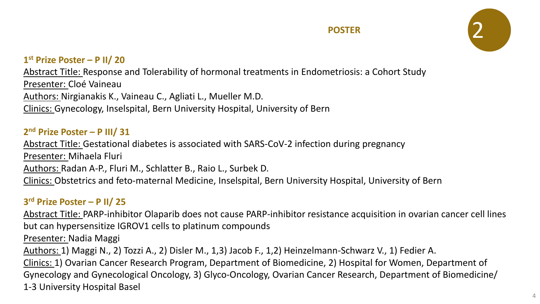

# **1 st Prize Poster – P II/ 20**

Abstract Title: Response and Tolerability of hormonal treatments in Endometriosis: a Cohort Study Presenter: Cloé Vaineau Authors: Nirgianakis K., Vaineau C., Agliati L., Mueller M.D. Clinics: Gynecology, Inselspital, Bern University Hospital, University of Bern

# **2 nd Prize Poster – P III/ 31**

Abstract Title: Gestational diabetes is associated with SARS-CoV-2 infection during pregnancy Presenter: Mihaela Fluri Authors: Radan A-P., Fluri M., Schlatter B., Raio L., Surbek D. Clinics: Obstetrics and feto-maternal Medicine, Inselspital, Bern University Hospital, University of Bern

# **3 rd Prize Poster – P II/ 25**

Abstract Title: PARP-inhibitor Olaparib does not cause PARP-inhibitor resistance acquisition in ovarian cancer cell lines but can hypersensitize IGROV1 cells to platinum compounds

Presenter: Nadia Maggi

Authors: 1) Maggi N., 2) Tozzi A., 2) Disler M., 1,3) Jacob F., 1,2) Heinzelmann-Schwarz V., 1) Fedier A.

Clinics: 1) Ovarian Cancer Research Program, Department of Biomedicine, 2) Hospital for Women, Department of Gynecology and Gynecological Oncology, 3) Glyco-Oncology, Ovarian Cancer Research, Department of Biomedicine/ 1-3 University Hospital Basel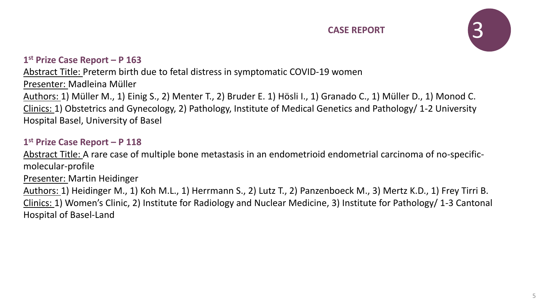

#### **1 st Prize Case Report – P 163**

Abstract Title: Preterm birth due to fetal distress in symptomatic COVID-19 women Presenter: Madleina Müller Authors: 1) Müller M., 1) Einig S., 2) Menter T., 2) Bruder E. 1) Hösli I., 1) Granado C., 1) Müller D., 1) Monod C. Clinics: 1) Obstetrics and Gynecology, 2) Pathology, Institute of Medical Genetics and Pathology/ 1-2 University Hospital Basel, University of Basel

#### **1 st Prize Case Report – P 118**

Abstract Title: A rare case of multiple bone metastasis in an endometrioid endometrial carcinoma of no-specificmolecular-profile Presenter: Martin Heidinger Authors: 1) Heidinger M., 1) Koh M.L., 1) Herrmann S., 2) Lutz T., 2) Panzenboeck M., 3) Mertz K.D., 1) Frey Tirri B. Clinics: 1) Women's Clinic, 2) Institute for Radiology and Nuclear Medicine, 3) Institute for Pathology/ 1-3 Cantonal

Hospital of Basel-Land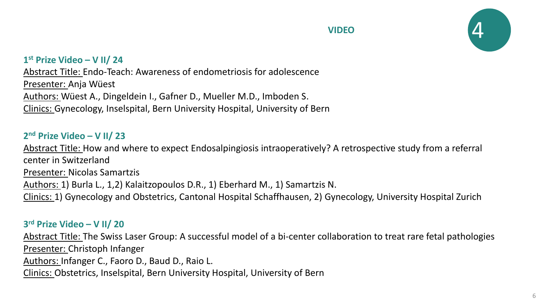



## **1 st Prize Video – V II/ 24**

Abstract Title: Endo-Teach: Awareness of endometriosis for adolescence Presenter: Anja Wüest Authors: Wüest A., Dingeldein I., Gafner D., Mueller M.D., Imboden S. Clinics: Gynecology, Inselspital, Bern University Hospital, University of Bern

#### **2 nd Prize Video – V II/ 23**

Abstract Title: How and where to expect Endosalpingiosis intraoperatively? A retrospective study from a referral center in Switzerland Presenter: Nicolas Samartzis Authors: 1) Burla L., 1,2) Kalaitzopoulos D.R., 1) Eberhard M., 1) Samartzis N. Clinics: 1) Gynecology and Obstetrics, Cantonal Hospital Schaffhausen, 2) Gynecology, University Hospital Zurich

#### **3 rd Prize Video – V II/ 20**

Abstract Title: The Swiss Laser Group: A successful model of a bi-center collaboration to treat rare fetal pathologies Presenter: Christoph Infanger Authors: Infanger C., Faoro D., Baud D., Raio L.

Clinics: Obstetrics, Inselspital, Bern University Hospital, University of Bern